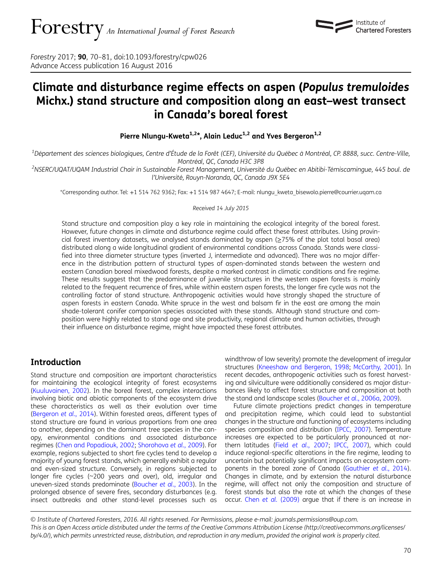Forestry 2017; 90, 70–81, doi:10.1093/forestry/cpw026 Advance Access publication 16 August 2016

# Climate and disturbance regime effects on aspen (Populus tremuloides Michx.) stand structure and composition along an east–west transect in Canada's boreal forest

Pierre Nlungu-Kweta<sup>1,2\*</sup>, Alain Leduc<sup>1,2</sup> and Yves Bergeron<sup>1,2</sup>

<sup>1</sup>Département des sciences biologiques, Centre d'Étude de la Forêt (CEF), Université du Québec à Montréal, CP. 8888, succ. Centre-Ville,

Montréal, QC, Canada H3C 3P8<br>NSERC/UQAT/UQAM Industrial Chair in Sustainable Forest Management, Université du Québec en Abitibi-Témiscamingue, 445 boul. de <sup>2</sup> l'Université, Rouyn-Noranda, QC, Canada J9X 5E4

\*Corresponding author. Tel: +1 514 762 9362; Fax: +1 514 987 4647; E-mail: nlungu\_kweta\_bisewolo.pierre@courrier.uqam.ca

Received 14 July 2015

Stand structure and composition play a key role in maintaining the ecological integrity of the boreal forest. However, future changes in climate and disturbance regime could affect these forest attributes. Using provincial forest inventory datasets, we analysed stands dominated by aspen (≥75% of the plot total basal area) distributed along a wide longitudinal gradient of environmental conditions across Canada. Stands were classified into three diameter structure types (inverted J, intermediate and advanced). There was no major difference in the distribution pattern of structural types of aspen-dominated stands between the western and eastern Canadian boreal mixedwood forests, despite a marked contrast in climatic conditions and fire regime. These results suggest that the predominance of juvenile structures in the western aspen forests is mainly related to the frequent recurrence of fires, while within eastern aspen forests, the longer fire cycle was not the controlling factor of stand structure. Anthropogenic activities would have strongly shaped the structure of aspen forests in eastern Canada. White spruce in the west and balsam fir in the east are among the main shade-tolerant conifer companion species associated with these stands. Although stand structure and composition were highly related to stand age and site productivity, regional climate and human activities, through their influence on disturbance regime, might have impacted these forest attributes.

## Introduction

Stand structure and composition are important characteristics for maintaining the ecological integrity of forest ecosystems [\(Kuuluvainen, 2002\)](#page-11-0). In the boreal forest, complex interactions involving biotic and abiotic components of the ecosystem drive these characteristics as well as their evolution over time [\(Bergeron](#page-10-0) et al., 2014). Within forested areas, different types of stand structure are found in various proportions from one area to another, depending on the dominant tree species in the canopy, environmental conditions and associated disturbance regimes ([Chen and Popadiouk, 2002;](#page-10-0) [Shorohova](#page-11-0) et al., 2009). For example, regions subjected to short fire cycles tend to develop a majority of young forest stands, which generally exhibit a regular and even-sized structure. Conversely, in regions subjected to longer fire cycles (~200 years and over), old, irregular and uneven-sized stands predominate ([Boucher](#page-10-0) et al., 2003). In the prolonged absence of severe fires, secondary disturbances (e.g. insect outbreaks and other stand-level processes such as

windthrow of low severity) promote the development of irregular structures [\(Kneeshaw and Bergeron, 1998](#page-11-0); [McCarthy, 2001\)](#page-11-0). In recent decades, anthropogenic activities such as forest harvesting and silviculture were additionally considered as major disturbances likely to affect forest structure and composition at both the stand and landscape scales [\(Boucher](#page-10-0) et al., 2006a, [2009](#page-10-0)).

Institute of **Chartered Foresters** 

Future climate projections predict changes in temperature and precipitation regime, which could lead to substantial changes in the structure and functioning of ecosystems including species composition and distribution ([IPCC, 2007](#page-11-0)). Temperature increases are expected to be particularly pronounced at northern latitudes (Field et al.[, 2007](#page-10-0); [IPCC, 2007\)](#page-11-0), which could induce regional-specific alterations in the fire regime, leading to uncertain but potentially significant impacts on ecosystem components in the boreal zone of Canada ([Gauthier](#page-10-0) et al., 2014). Changes in climate, and by extension the natural disturbance regime, will affect not only the composition and structure of forest stands but also the rate at which the changes of these occur. Chen et al. [\(2009\)](#page-10-0) argue that if there is an increase in

© Institute of Chartered Foresters, 2016. All rights reserved. For Permissions, please e-mail: journals.permissions@oup.com. This is an Open Access article distributed under the terms of the Creative Commons Attribution License [\(http://creativecommons.org/licenses/](http://creativecommons.org/licenses/by/4.0/) [by/4.0/\)](http://creativecommons.org/licenses/by/4.0/), which permits unrestricted reuse, distribution, and reproduction in any medium, provided the original work is properly cited.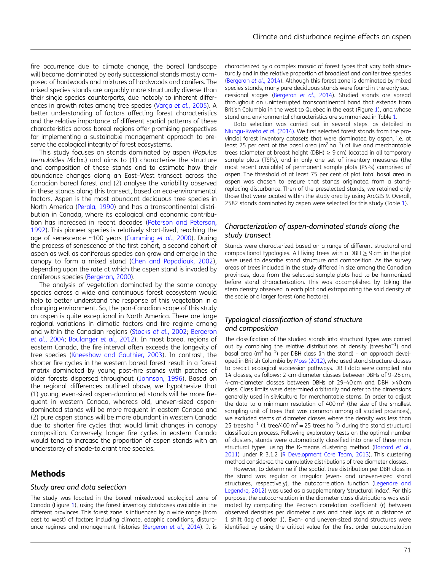fire occurrence due to climate change, the boreal landscape will become dominated by early successional stands mostly composed of hardwoods and mixtures of hardwoods and conifers. The mixed species stands are arguably more structurally diverse than their single species counterparts, due notably to inherent differences in growth rates among tree species (Varga et al.[, 2005\)](#page-11-0). A better understanding of factors affecting forest characteristics and the relative importance of different spatial patterns of these characteristics across boreal regions offer promising perspectives for implementing a sustainable management approach to preserve the ecological integrity of forest ecosystems.

This study focuses on stands dominated by aspen (Populus tremuloides Michx.) and aims to (1) characterize the structure and composition of these stands and to estimate how their abundance changes along an East–West transect across the Canadian boreal forest and (2) analyse the variability observed in these stands along this transect, based on eco-environmental factors. Aspen is the most abundant deciduous tree species in North America ([Perala, 1990](#page-11-0)) and has a transcontinental distribution in Canada, where its ecological and economic contribution has increased in recent decades ([Peterson and Peterson,](#page-11-0) [1992](#page-11-0)). This pioneer species is relatively short-lived, reaching the age of senescence ~100 years [\(Cumming](#page-10-0) et al., 2000). During the process of senescence of the first cohort, a second cohort of aspen as well as coniferous species can grow and emerge in the canopy to form a mixed stand [\(Chen and Popadiouk, 2002](#page-10-0)), depending upon the rate at which the aspen stand is invaded by coniferous species ([Bergeron, 2000\)](#page-10-0).

The analysis of vegetation dominated by the same canopy species across a wide and continuous forest ecosystem would help to better understand the response of this vegetation in a changing environment. So, the pan-Canadian scope of this study on aspen is quite exceptional in North America. There are large regional variations in climatic factors and fire regime among and within the Canadian regions (Stocks et al.[, 2002;](#page-11-0) [Bergeron](#page-10-0) et al.[, 2004](#page-10-0); [Boulanger](#page-10-0) et al., 2012). In most boreal regions of eastern Canada, the fire interval often exceeds the longevity of tree species ([Kneeshaw and Gauthier, 2003](#page-11-0)). In contrast, the shorter fire cycles in the western boreal forest result in a forest matrix dominated by young post-fire stands with patches of older forests dispersed throughout [\(Johnson, 1996\)](#page-11-0). Based on the regional differences outlined above, we hypothesize that (1) young, even-sized aspen-dominated stands will be more frequent in western Canada, whereas old, uneven-sized aspendominated stands will be more frequent in eastern Canada and (2) pure aspen stands will be more abundant in western Canada due to shorter fire cycles that would limit changes in canopy composition. Conversely, longer fire cycles in eastern Canada would tend to increase the proportion of aspen stands with an understorey of shade-tolerant tree species.

#### Methods

#### Study area and data selection

The study was located in the boreal mixedwood ecological zone of Canada (Figure [1](#page-2-0)), using the forest inventory databases available in the different provinces. This forest zone is influenced by a wide range (from east to west) of factors including climate, edaphic conditions, disturbance regimes and management histories [\(Bergeron](#page-10-0) et al., 2014). It is characterized by a complex mosaic of forest types that vary both structurally and in the relative proportion of broadleaf and conifer tree species [\(Bergeron](#page-10-0) et al., 2014). Although this forest zone is dominated by mixed species stands, many pure deciduous stands were found in the early successional stages [\(Bergeron](#page-10-0) et al., 2014). Studied stands are spread throughout an uninterrupted transcontinental band that extends from British Columbia in the west to Quebec in the east (Figure [1\)](#page-2-0), and whose stand and environmental characteristics are summarized in Table [1](#page-3-0).

Data selection was carried out in several steps, as detailed in [Nlungu-Kweta](#page-11-0) et al. (2014). We first selected forest stands from the provincial forest inventory datasets that were dominated by aspen, i.e. at least 75 per cent of the basal area ( $m^2$  ha<sup>-1</sup>) of live and merchantable trees (diameter at breast height (DBH)  $\geq$  9 cm) located in all temporary sample plots (TSPs), and in only one set of inventory measures (the most recent available) of permanent sample plots (PSPs) comprised of aspen. The threshold of at least 75 per cent of plot total basal area in aspen was chosen to ensure that stands originated from a standreplacing disturbance. Then of the preselected stands, we retained only those that were located within the study area by using ArcGIS 9. Overall, 2582 stands dominated by aspen were selected for this study (Table [1](#page-3-0)).

#### Characterization of aspen-dominated stands along the study transect

Stands were characterized based on a range of different structural and compositional typologies. All living trees with a DBH ≥ 9 cm in the plot were used to describe stand structure and composition. As the survey areas of trees included in the study differed in size among the Canadian provinces, data from the selected sample plots had to be harmonized before stand characterization. This was accomplished by taking the stem density observed in each plot and extrapolating the said density at the scale of a larger forest (one hectare).

### Typological classification of stand structure and composition

The classification of the studied stands into structural types was carried out by combining the relative distributions of density (trees ha<sup>-1</sup>) and basal area (m<sup>2</sup> ha<sup>-1</sup>) per DBH class (in the stand) - an approach developed in British Columbia by [Moss \(2012\)](#page-11-0), who used stand structure classes to predict ecological succession pathways. DBH data were compiled into 14 classes, as follows: 2-cm-diameter classes between DBHs of 9–28 cm, 4-cm-diameter classes between DBHs of 29–40 cm and DBH >40 cm class. Class limits were determined arbitrarily and refer to the dimensions generally used in silviculture for merchantable stems. In order to adjust the data to a minimum resolution of  $400 \,\mathrm{m}^2$  (the size of the smallest sampling unit of trees that was common among all studied provinces), we excluded stems of diameter classes where the density was less than 25 trees ha<sup>-1</sup> (1 tree/400 m<sup>2</sup> = 25 trees ha<sup>-1</sup>) during the stand structural classification process. Following exploratory tests on the optimal number of clusters, stands were automatically classified into one of three main structural types, using the K-means clustering method ([Borcard](#page-10-0) et al., [2011\)](#page-10-0) under R 3.1.2 [\(R Development Core Team, 2013](#page-11-0)). This clustering method considered the cumulative distributions of tree diameter classes.

However, to determine if the spatial tree distribution per DBH class in the stand was regular or irregular (even- and uneven-sized stand structures, respectively), the autocorrelation function ([Legendre and](#page-11-0) [Legendre, 2012\)](#page-11-0) was used as a supplementary 'structural index'. For this purpose, the autocorrelation in the diameter class distributions was estimated by computing the Pearson correlation coefficient (r) between observed densities per diameter class and their lags at a distance of 1 shift (lag of order 1). Even- and uneven-sized stand structures were identified by using the critical value for the first-order autocorrelation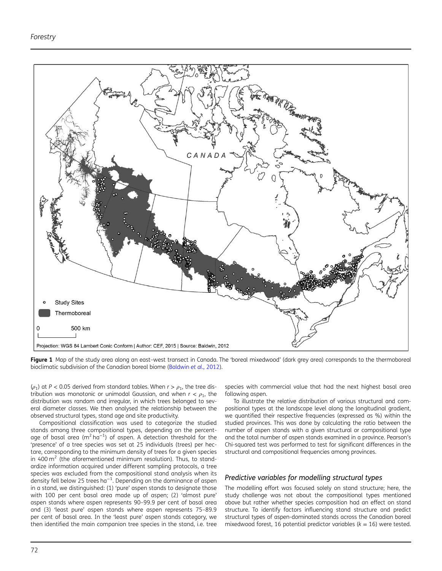<span id="page-2-0"></span>

Figure 1 Map of the study area along an east-west transect in Canada. The 'boreal mixedwood' (dark grey area) corresponds to the thermoboreal bioclimatic subdivision of the Canadian boreal biome [\(Baldwin](#page-10-0) et al., 2012).

( $\rho_1$ ) at P < 0.05 derived from standard tables. When  $r > \rho_1$ , the tree distribution was monotonic or unimodal Gaussian, and when  $r < \rho_1$ , the distribution was random and irregular, in which trees belonged to several diameter classes. We then analysed the relationship between the observed structural types, stand age and site productivity.

Compositional classification was used to categorize the studied stands among three compositional types, depending on the percentage of basal area (m<sup>2</sup> ha $^{-1}$ ) of aspen. A detection threshold for the 'presence' of a tree species was set at 25 individuals (trees) per hectare, corresponding to the minimum density of trees for a given species in  $400 \text{ m}^2$  (the aforementioned minimum resolution). Thus, to standardize information acquired under different sampling protocols, a tree species was excluded from the compositional stand analysis when its density fell below 25 trees ha $^{-1}$ . Depending on the dominance of aspen in a stand, we distinguished: (1) 'pure' aspen stands to designate those with 100 per cent basal area made up of aspen; (2) 'almost pure' aspen stands where aspen represents 90–99.9 per cent of basal area and (3) 'least pure' aspen stands where aspen represents 75–89.9 per cent of basal area. In the 'least pure' aspen stands category, we then identified the main companion tree species in the stand, i.e. tree species with commercial value that had the next highest basal area following aspen.

To illustrate the relative distribution of various structural and compositional types at the landscape level along the longitudinal gradient, we quantified their respective frequencies (expressed as %) within the studied provinces. This was done by calculating the ratio between the number of aspen stands with a given structural or compositional type and the total number of aspen stands examined in a province. Pearson's Chi-squared test was performed to test for significant differences in the structural and compositional frequencies among provinces.

#### Predictive variables for modelling structural types

The modelling effort was focused solely on stand structure; here, the study challenge was not about the compositional types mentioned above but rather whether species composition had an effect on stand structure. To identify factors influencing stand structure and predict structural types of aspen-dominated stands across the Canadian boreal mixedwood forest, 16 potential predictor variables ( $k = 16$ ) were tested.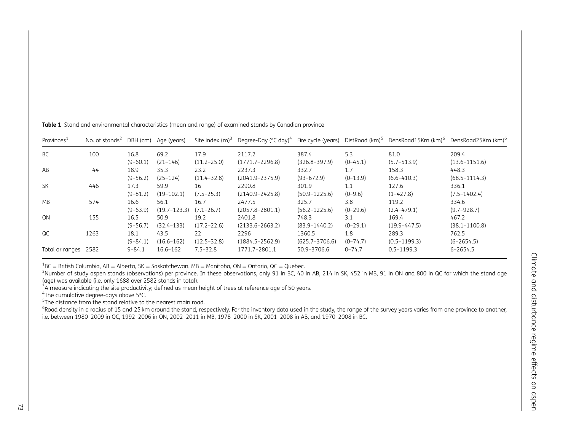| Provinces <sup>1</sup> | No. of stands <sup>2</sup> DBH (cm) Age (years) |                      |                          |                         | Site index $(m)^3$ Degree-Day (°C day) <sup>4</sup> Fire cycle (years) |                             |                   | DistRoad (km) <sup>5</sup> DensRoad15Km (km) <sup>6</sup> DensRoad25Km (km) <sup>6</sup> |                            |
|------------------------|-------------------------------------------------|----------------------|--------------------------|-------------------------|------------------------------------------------------------------------|-----------------------------|-------------------|------------------------------------------------------------------------------------------|----------------------------|
| <b>BC</b>              | 100                                             | 16.8<br>$(9 - 60.1)$ | 69.2<br>$(21 - 146)$     | 17.9<br>$(11.2 - 25.0)$ | 2117.2<br>$(1771.7 - 2296.8)$                                          | 387.4<br>$(326.8 - 397.9)$  | 5.3<br>$(0-45.1)$ | 81.0<br>$(5.7 - 513.9)$                                                                  | 209.4<br>$(13.6 - 1151.6)$ |
| AB                     | 44                                              | 18.9<br>$(9 - 56.2)$ | 35.3<br>$(25 - 124)$     | 23.2<br>$(11.4 - 32.8)$ | 2237.3<br>$(2041.9 - 2375.9)$                                          | 332.7<br>$(93 - 672.9)$     | 1.7<br>$(0-13.9)$ | 158.3<br>$(6.6 - 410.3)$                                                                 | 448.3<br>$(68.5 - 1114.3)$ |
| <b>SK</b>              | 446                                             | 17.3                 | 59.9                     | 16                      | 2290.8                                                                 | 301.9                       | 1.1               | 127.6                                                                                    | 336.1                      |
| <b>MB</b>              | 574                                             | $(9 - 81.2)$<br>16.6 | $(19-102.1)$<br>56.1     | $(7.5 - 25.3)$<br>16.7  | $(2140.9 - 2425.8)$<br>2477.5                                          | $(50.9 - 1225.6)$<br>325.7  | $(0-9.6)$<br>3.8  | $(1-427.8)$<br>119.2                                                                     | $(7.5 - 1402.4)$<br>334.6  |
| ON                     | 155                                             | $(9 - 63.9)$<br>16.5 | $(19.7 - 123.3)$<br>50.9 | $(7.1 - 26.7)$<br>19.2  | $(2057.8 - 2801.1)$<br>2401.8                                          | $(56.2 - 1225.6)$<br>748.3  | $(0-29.6)$<br>3.1 | $(2.4 - 479.1)$<br>169.4                                                                 | $(9.7 - 928.7)$<br>467.2   |
| <b>OC</b>              | 1263                                            | $(9 - 56.7)$<br>18.1 | $(32.4 - 133)$<br>43.5   | $(17.2 - 22.6)$<br>22   | $(2133.6 - 2663.2)$<br>2296                                            | $(83.9 - 1440.2)$<br>1360.5 | $(0-29.1)$<br>1.8 | $(19.9 - 447.5)$<br>289.3                                                                | $(38.1 - 1100.8)$<br>762.5 |
|                        |                                                 | $(9 - 84.1)$         | $(16.6 - 162)$           | $(12.5 - 32.8)$         | $(1884.5 - 2562.9)$                                                    | $(625.7 - 3706.6)$          | $(0-74.7)$        | $(0.5 - 1199.3)$                                                                         | $(6 - 2654.5)$             |
| Total or ranges        | 2582                                            | $9 - 84.1$           | $16.6 - 162$             | $7.5 - 32.8$            | 1771.7-2801.1                                                          | 50.9-3706.6                 | $0 - 74.7$        | $0.5 - 1199.3$                                                                           | $6 - 2654.5$               |

<span id="page-3-0"></span>**Table 1** Stand and environmental characteristics (mean and range) of examined stands by Canadian province

 $^{1}$ BC = British Columbia, AB = Alberta, SK = Saskatchewan, MB = Manitoba, ON = Ontario, QC = Quebec.

<sup>2</sup>Number of study aspen stands (observations) per province. In these observations, only 91 in BC, 40 in AB, 214 in SK, 452 in MB, 91 in ON and 800 in QC for which the stand age (age) was available (i.e. only 1688 over 2582 stands in total).

 $3A$  measure indicating the site productivity; defined as mean height of trees at reference age of 50 years.

4The cumulative degree-days above <sup>5</sup>°C.

 $^5$ The distance from the stand relative to the nearest main road.

<sup>6</sup>Road density in a radius of 15 and 25 km around the stand, respectively. For the inventory data used in the study, the range of the survey years varies from one province to another, i.e. between 1980–2009 in QC, 1992–2006 in ON, 2002–2011 in MB, 1978–2000 in SK, 2001–2008 in AB, and 1970–2008 in BC.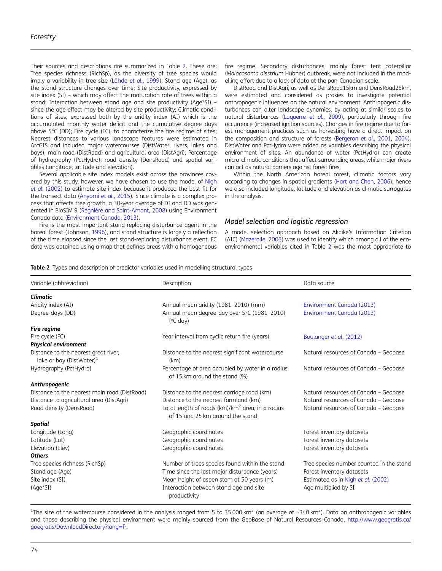Their sources and descriptions are summarized in Table 2. These are: Tree species richness (RichSp), as the diversity of tree species would imply a variability in tree size (Lähde et al.[, 1999](#page-11-0)); Stand age (Age), as the stand structure changes over time; Site productivity, expressed by site index (SI) – which may affect the maturation rate of trees within a stand; Interaction between stand age and site productivity (Age\*SI) – since the age effect may be altered by site productivity; Climatic conditions of sites, expressed both by the aridity index (AI) which is the accumulated monthly water deficit and the cumulative degree days above 5°C (DD); Fire cycle (FC), to characterize the fire regime of sites; Nearest distances to various landscape features were estimated in ArcGIS and included major watercourses (DistWater; rivers, lakes and bays), main road (DistRoad) and agricultural area (DistAgri); Percentage of hydrography (PctHydro); road density (DensRoad) and spatial variables (longitude, latitude and elevation).

Several applicable site index models exist across the provinces cov-ered by this study, however, we have chosen to use the model of [Nigh](#page-11-0) et al. [\(2002\)](#page-11-0) to estimate site index because it produced the best fit for the transect data ([Anyomi](#page-10-0) et al., 2015). Since climate is a complex process that affects tree growth, a 30-year average of DI and DD was generated in BioSIM 9 ([Régnière and Saint-Amant, 2008](#page-11-0)) using Environment Canada data ([Environment Canada, 2013\)](#page-10-0).

Fire is the most important stand-replacing disturbance agent in the boreal forest (Johnson, [1996](#page-11-0)), and stand structure is largely a reflection of the time elapsed since the last stand-replacing disturbance event. FC data was obtained using a map that defines areas with a homogeneous

fire regime. Secondary disturbances, mainly forest tent caterpillar (Malacosoma disstrium Hübner) outbreak, were not included in the modelling effort due to a lack of data at the pan-Canadian scale.

DistRoad and DistAgri, as well as DensRoad15km and DensRoad25km, were estimated and considered as proxies to investigate potential anthropogenic influences on the natural environment. Anthropogenic disturbances can alter landscape dynamics, by acting at similar scales to natural disturbances ([Laquerre](#page-11-0) et al., 2009), particularly through fire occurrence (increased ignition sources). Changes in fire regime due to forest management practices such as harvesting have a direct impact on the composition and structure of forests ([Bergeron](#page-10-0) et al., 2001, [2004](#page-10-0)). DistWater and PctHydro were added as variables describing the physical environment of sites. An abundance of water (PctHydro) can create micro-climatic conditions that affect surrounding areas, while major rivers can act as natural barriers against forest fires.

Within the North American boreal forest, climatic factors vary according to changes in spatial gradients ([Hart and Chen, 2006](#page-10-0)); hence we also included longitude, latitude and elevation as climatic surrogates in the analysis.

#### Model selection and logistic regression

A model selection approach based on Akaike's Information Criterion (AIC) [\(Mazerolle, 2006](#page-11-0)) was used to identify which among all of the ecoenvironmental variables cited in Table 2 was the most appropriate to

#### Table 2 Types and description of predictor variables used in modelling structural types

| Variable (abbreviation)                                                      | Description                                                                                      | Data source                              |
|------------------------------------------------------------------------------|--------------------------------------------------------------------------------------------------|------------------------------------------|
| <b>Climatic</b>                                                              |                                                                                                  |                                          |
| Aridity index (AI)                                                           | Annual mean aridity (1981-2010) (mm)                                                             | Environment Canada (2013)                |
| Degree-days (DD)                                                             | Annual mean degree-day over 5°C (1981-2010)<br>$(^{\circ}C$ day)                                 | Environment Canada (2013)                |
| <b>Fire regime</b>                                                           |                                                                                                  |                                          |
| Fire cycle (FC)                                                              | Year interval from cyclic return fire (years)                                                    | Boulanger et al. (2012)                  |
| <b>Physical environment</b>                                                  |                                                                                                  |                                          |
| Distance to the nearest great river,<br>lake or bay (DistWater) <sup>1</sup> | Distance to the nearest significant watercourse<br>(km)                                          | Natural resources of Canada - Geobase    |
| Hydrography (PctHydro)                                                       | Percentage of area occupied by water in a radius<br>of 15 km around the stand (%)                | Natural resources of Canada - Geobase    |
| Anthropogenic                                                                |                                                                                                  |                                          |
| Distance to the nearest main road (DistRoad)                                 | Distance to the nearest carriage road (km)                                                       | Natural resources of Canada - Geobase    |
| Distance to agricultural area (DistAgri)                                     | Distance to the nearest farmland (km)                                                            | Natural resources of Canada - Geobase    |
| Road density (DensRoad)                                                      | Total length of roads (km)/km <sup>2</sup> area, in a radius<br>of 15 and 25 km around the stand | Natural resources of Canada - Geobase    |
| Spatial                                                                      |                                                                                                  |                                          |
| Longitude (Long)                                                             | Geographic coordinates                                                                           | Forest inventory datasets                |
| Latitude (Lat)                                                               | Geographic coordinates                                                                           | Forest inventory datasets                |
| Elevation (Elev)                                                             | Geographic coordinates                                                                           | Forest inventory datasets                |
| <b>Others</b>                                                                |                                                                                                  |                                          |
| Tree species richness (RichSp)                                               | Number of trees species found within the stand                                                   | Tree species number counted in the stand |
| Stand age (Age)                                                              | Time since the last major disturbance (years)                                                    | Forest inventory datasets                |
| Site index (SI)                                                              | Mean height of aspen stem at 50 years (m)                                                        | Estimated as in Nigh et al. (2002)       |
| (Age*SI)                                                                     | Interaction between stand age and site<br>productivity                                           | Age multiplied by SI                     |

<sup>1</sup>The size of the watercourse considered in the analysis ranged from 5 to 35 000 km<sup>2</sup> (an average of ~340 km<sup>2</sup>). Data on anthropogenic variables and those describing the physical environment were mainly sourced from the GeoBase of Natural Resources Canada. [http://www.geogratis.ca/](http://www.geogratis.ca/goegratis/DownloadDirectory?lang=fr) [goegratis/DownloadDirectory?lang](http://www.geogratis.ca/goegratis/DownloadDirectory?lang=fr)=fr.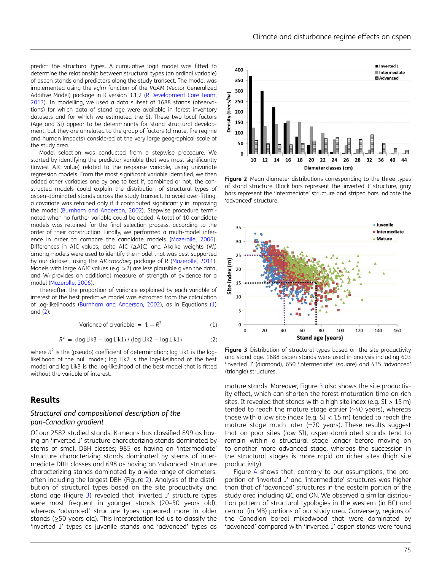<span id="page-5-0"></span>predict the structural types. A cumulative logit model was fitted to determine the relationship between structural types (an ordinal variable) of aspen stands and predictors along the study transect. The model was implemented using the vglm function of the VGAM (Vector Generalized Additive Model) package in R version 3.1.2 [\(R Development Core Team,](#page-11-0) [2013\)](#page-11-0). In modelling, we used a data subset of 1688 stands (observations) for which data of stand age were available in forest inventory datasets and for which we estimated the SI. These two local factors (Age and SI) appear to be determinants for stand structural development, but they are unrelated to the group of factors (climate, fire regime and human impacts) considered at the very large geographical scale of the study area.

Model selection was conducted from a stepwise procedure. We started by identifying the predictor variable that was most significantly (lowest AIC value) related to the response variable, using univariate regression models. From the most significant variable identified, we then added other variables one by one to test if, combined or not, the constructed models could explain the distribution of structural types of aspen-dominated stands across the study transect. To avoid over-fitting, a covariate was retained only if it contributed significantly in improving the model [\(Burnham and Anderson, 2002\)](#page-10-0). Stepwise procedure terminated when no further variable could be added. A total of 10 candidate models was retained for the final selection process, according to the order of their construction. Finally, we performed a multi-model inference in order to compare the candidate models [\(Mazerolle, 2006\)](#page-11-0). Differences in AIC values, delta AIC (ΔAIC) and Akaike weights (W<sup>i</sup> ) among models were used to identify the model that was best supported by our dataset, using the AICcmodavg package of R ([Mazerolle, 2011\)](#page-11-0). Models with large ΔAIC values (e.g. >2) are less plausible given the data, and  $W_i$  provides an additional measure of strength of evidence for a model ([Mazerolle, 2006\)](#page-11-0).

Thereafter, the proportion of variance explained by each variable of interest of the best predictive model was extracted from the calculation of log-likelihoods [\(Burnham and Anderson, 2002](#page-10-0)), as in Equations (1) and (2):

Variance of a variable 
$$
= 1 - R^2
$$
 (1)

$$
R2 = (log Lik3 – log Lik1) / (log Lik2 – log Lik1)
$$
 (2)

where  $R^2$  is the (pseudo) coefficient of determination; log Lik1 is the loglikelihood of the null model; log Lik2 is the log-likelihood of the best model and log Lik3 is the log-likelihood of the best model that is fitted without the variable of interest.

### Results

#### Structural and compositional description of the pan-Canadian gradient

Of our 2582 studied stands, K-means has classified 899 as having an 'inverted J' structure characterizing stands dominated by stems of small DBH classes; 985 as having an 'intermediate' structure characterizing stands dominated by stems of intermediate DBH classes and 698 as having an 'advanced' structure characterizing stands dominated by a wide range of diameters, often including the largest DBH (Figure 2). Analysis of the distribution of structural types based on the site productivity and stand age (Figure 3) revealed that 'inverted J' structure types were most frequent in younger stands (20–50 years old), whereas 'advanced' structure types appeared more in older stands (≥50 years old). This interpretation led us to classify the 'inverted J' types as juvenile stands and 'advanced' types as



Figure 2 Mean diameter distributions corresponding to the three types of stand structure. Black bars represent the 'inverted J' structure, gray bars represent the 'intermediate' structure and striped bars indicate the 'advanced' structure.



Figure 3 Distribution of structural types based on the site productivity and stand age. 1688 aspen stands were used in analysis including 603 'inverted J' (diamond), 650 'intermediate' (square) and 435 'advanced' (triangle) structures.

mature stands. Moreover, Figure 3 also shows the site productivity effect, which can shorten the forest maturation time on rich sites. It revealed that stands with a high site index (e.g.  $SI > 15$  m) tended to reach the mature stage earlier (~40 years), whereas those with a low site index (e.g.  $SI < 15$  m) tended to reach the mature stage much later ( $\sim$ 70 years). These results suggest that on poor sites (low SI), aspen-dominated stands tend to remain within a structural stage longer before moving on to another more advanced stage, whereas the succession in the structural stages is more rapid on richer sites (high site productivity).

Figure [4](#page-6-0) shows that, contrary to our assumptions, the proportion of 'inverted J' and 'intermediate' structures was higher than that of 'advanced' structures in the eastern portion of the study area including QC and ON. We observed a similar distribution pattern of structural typologies in the western (in BC) and central (in MB) portions of our study area. Conversely, regions of the Canadian boreal mixedwood that were dominated by 'advanced' compared with 'inverted J' aspen stands were found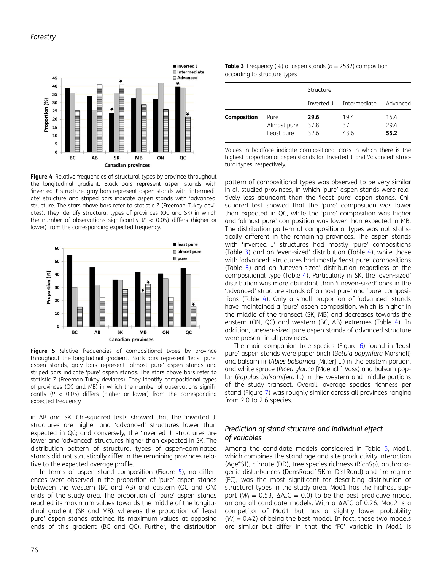<span id="page-6-0"></span>

Figure 4 Relative frequencies of structural types by province throughout the longitudinal gradient. Black bars represent aspen stands with 'inverted J' structure, gray bars represent aspen stands with 'intermediate' structure and striped bars indicate aspen stands with 'advanced' structure. The stars above bars refer to statistic Z (Freeman-Tukey deviates). They identify structural types of provinces (QC and SK) in which the number of observations significantly ( $P < 0.05$ ) differs (higher or lower) from the corresponding expected frequency.



Figure 5 Relative frequencies of compositional types by province throughout the longitudinal gradient. Black bars represent 'least pure' aspen stands, gray bars represent 'almost pure' aspen stands and striped bars indicate 'pure' aspen stands. The stars above bars refer to statistic Z (Freeman-Tukey deviates). They identify compositional types of provinces (QC and MB) in which the number of observations significantly ( $P$  < 0.05) differs (higher or lower) from the corresponding expected frequency.

in AB and SK. Chi-squared tests showed that the 'inverted J' structures are higher and 'advanced' structures lower than expected in QC; and conversely, the 'inverted J' structures are lower and 'advanced' structures higher than expected in SK. The distribution pattern of structural types of aspen-dominated stands did not statistically differ in the remaining provinces relative to the expected average profile.

In terms of aspen stand composition (Figure 5), no differences were observed in the proportion of 'pure' aspen stands between the western (BC and AB) and eastern (QC and ON) ends of the study area. The proportion of 'pure' aspen stands reached its maximum values towards the middle of the longitudinal gradient (SK and MB), whereas the proportion of 'least pure' aspen stands attained its maximum values at opposing ends of this gradient (BC and QC). Further, the distribution

| <b>Table 3</b> Frequency (%) of aspen stands ( $n = 2582$ ) composition |  |
|-------------------------------------------------------------------------|--|
| according to structure types                                            |  |

|             |                                   | Structure            |                    |                      |
|-------------|-----------------------------------|----------------------|--------------------|----------------------|
|             |                                   | Inverted J           | Intermediate       | Advanced             |
| Composition | Pure<br>Almost pure<br>Least pure | 29.6<br>37.8<br>32.6 | 19.4<br>37<br>43.6 | 15.4<br>29.4<br>55.2 |

Values in boldface indicate compositional class in which there is the highest proportion of aspen stands for 'Inverted J' and 'Advanced' structural types, respectively.

pattern of compositional types was observed to be very similar in all studied provinces, in which 'pure' aspen stands were relatively less abundant than the 'least pure' aspen stands. Chisquared test showed that the 'pure' composition was lower than expected in QC, while the 'pure' composition was higher and 'almost pure' composition was lower than expected in MB. The distribution pattern of compositional types was not statistically different in the remaining provinces. The aspen stands with 'inverted J' structures had mostly 'pure' compositions (Table 3) and an 'even-sized' distribution (Table [4\)](#page-7-0), while those with 'advanced' structures had mostly 'least pure' compositions (Table 3) and an 'uneven-sized' distribution regardless of the compositional type (Table [4\)](#page-7-0). Particularly in SK, the 'even-sized' distribution was more abundant than 'uneven-sized' ones in the 'advanced' structure stands of 'almost pure' and 'pure' compositions (Table [4](#page-7-0)). Only a small proportion of 'advanced' stands have maintained a 'pure' aspen composition, which is higher in the middle of the transect (SK, MB) and decreases towards the eastern (ON, QC) and western (BC, AB) extremes (Table [4](#page-7-0)). In addition, uneven-sized pure aspen stands of advanced structure were present in all provinces.

The main companion tree species (Figure [6](#page-7-0)) found in 'least pure' aspen stands were paper birch (Betula papyrifera Marshall) and balsam fir (Abies balsamea [Miller] L.) in the eastern portion, and white spruce (Picea glauca [Moench] Voss) and balsam poplar (Populus balsamifera L.) in the western and middle portions of the study transect. Overall, average species richness per stand (Figure [7](#page-7-0)) was roughly similar across all provinces ranging from 2.0 to 2.6 species.

#### Prediction of stand structure and individual effect of variables

Among the candidate models considered in Table [5,](#page-8-0) Mod1, which combines the stand age and site productivity interaction (Age\*SI), climate (DD), tree species richness (RichSp), anthropogenic disturbances (DensRoad15Km, DistRoad) and fire regime (FC), was the most significant for describing distribution of structural types in the study area. Mod1 has the highest support ( $W_i = 0.53$ ,  $\Delta AIC = 0.0$ ) to be the best predictive model among all candidate models. With a ΔAIC of 0.26, Mod2 is a competitor of Mod1 but has a slightly lower probability  $(W<sub>i</sub> = 0.42)$  of being the best model. In fact, these two models are similar but differ in that the 'FC' variable in Mod1 is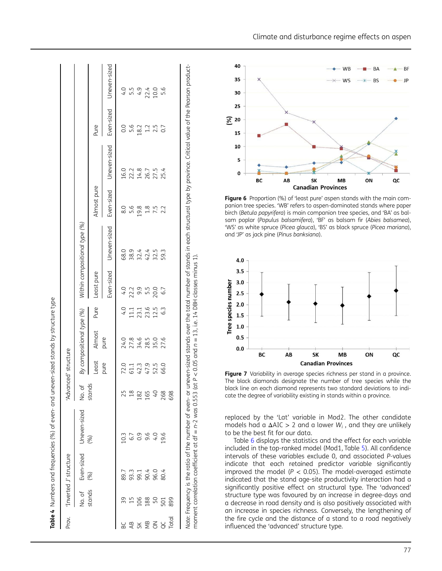<span id="page-7-0"></span>

| Prov.  |        |                       |                         |                 |                      |                           |                  |            |                               |               |                         |               |              |
|--------|--------|-----------------------|-------------------------|-----------------|----------------------|---------------------------|------------------|------------|-------------------------------|---------------|-------------------------|---------------|--------------|
|        |        | Inverted J' structure |                         |                 | 'Advanced' structure |                           |                  |            |                               |               |                         |               |              |
|        | No. of |                       | Even-sized Uneven-sized | No. of          |                      | By compositional type (%) |                  |            | Within compositional type (%) |               |                         |               |              |
|        | stands | (%)                   | (%)                     | stands          | Least                | Almost                    | Pure             | Least pure |                               | Almost pure   |                         | Pure          |              |
|        |        |                       |                         |                 | pure                 | pure                      |                  | Even-sized | Uneven-sized                  |               | Even-sized Uneven-sized | Even-sized    | Uneven-sized |
|        |        | 89.7                  | 10.3                    |                 | 72.0                 | 24.0                      | $-1.0$           | 4.0        | 68.0                          | $\frac{8}{8}$ | 16.0                    | $\frac{0}{0}$ | 4.0          |
|        |        | 93.3                  | 6.7                     |                 | 61.1                 | 27.8                      | 11.1             | 22.2       | 38.9                          | 5.6           |                         | 5.6           |              |
|        | 106    | 99.1                  | 0.9                     | 182             | 42.3                 | 34.6                      | $23.1$<br>$23.6$ | 9.5<br>5.5 | 32.4                          | 19.8          | 22.2<br>14.8<br>26.7    | 18.2          | 5.5<br>4.9   |
| ЯM     | 188    | 90.4                  | 9.6                     | 165             | 47.9                 | 28.5                      |                  |            | 42.4                          | 1.8           |                         | 1.2           |              |
| $\leq$ | 50     | 96.0                  | 0.7                     | $\mathcal{O}^+$ | 52.5                 | 35.0                      | 12.5             | 20.0       | 32.5                          | 7.5           | 27.5                    | 2.5           | 22.4<br>10.0 |
|        | 501    | 80.4                  | 19.6                    | 268             | 66.0                 | 27.6                      | 63               | 6.7        | 59.3                          | 2.2           | 25.4                    | 0.7           | 5.6          |
| Total  | 899    |                       |                         | 698             |                      |                           |                  |            |                               |               |                         |               |              |
|        |        |                       |                         |                 |                      |                           |                  |            |                               |               |                         |               |              |



Figure 6 Proportion (%) of 'least pure' aspen stands with the main companion tree species. 'WB' refers to aspen-dominated stands where paper birch (Betula papyrifera) is main companion tree species, and 'BA ' as balsam poplar (Populus balsamifera), 'BF' as balsam fir (Abies balsamea), 'WS' as white spruce (Picea glauca), 'BS' as black spruce (Picea mariana), and 'JP ' as jack pine (Pinus banksiana).



Figure 7 Variability in average species richness per stand in a province. The black diamonds designate the number of tree species while the black line on each diamond represents two standard deviations to indicate the degree of variability existing in stands within a province.

replaced by the 'Lat ' variable in Mod2. The other candidate models had a  $\Delta AIC > 2$  and a lower  $W_i$ , and they are unlikely to be the best fit for our data.

Table [6](#page-8-0) displays the statistics and the effect for each variable included in the top-ranked model (Mod1, Table [5](#page-8-0)). All con fidence intervals of these variables exclude 0, and associated P-values indicate that each retained predictor variable signi ficantly improved the model ( $P < 0.05$ ). The model-averaged estimate indicated that the stand age-site productivity interaction had a signi ficantly positive effect on structural type. The 'advanced ' structure type was favoured by an increase in degree-days and a decrease in road density and is also positively associated with an increase in species richness. Conversely, the lengthening of the fire cycle and the distance of a stand to a road negatively in fluenced the 'advanced ' structure type.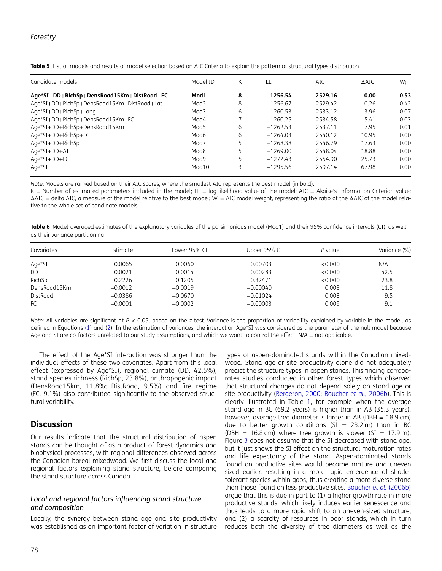| Candidate models                           | Model ID         | K | LL         | AIC     | $\triangle$ AIC | $W_i$ |
|--------------------------------------------|------------------|---|------------|---------|-----------------|-------|
| Age*SI+DD+RichSp+DensRoad15Km+DistRoad+FC  | Mod1             | 8 | $-1256.54$ | 2529.16 | 0.00            | 0.53  |
| Age*SI+DD+RichSp+DensRoad15Km+DistRoad+Lat | Mod <sub>2</sub> | 8 | $-1256.67$ | 2529.42 | 0.26            | 0.42  |
| Age*SI+DD+RichSp+Long                      | Mod3             | 6 | $-1260.53$ | 2533.12 | 3.96            | 0.07  |
| Age*SI+DD+RichSp+DensRoad15Km+FC           | Mod4             |   | $-1260.25$ | 2534.58 | 5.41            | 0.03  |
| Age*SI+DD+RichSp+DensRoad15Km              | Mod5             | 6 | $-1262.53$ | 2537.11 | 7.95            | 0.01  |
| Age*SI+DD+RichSp+FC                        | Mod6             | 6 | $-1264.03$ | 2540.12 | 10.95           | 0.00  |
| Age*SI+DD+RichSp                           | Mod7             |   | $-1268.38$ | 2546.79 | 17.63           | 0.00  |
| Age*SI+DD+AI                               | Mod8             |   | $-1269.00$ | 2548.04 | 18.88           | 0.00  |
| Age*SI+DD+FC                               | Mod9             |   | $-1272.43$ | 2554.90 | 25.73           | 0.00  |
| Age*SI                                     | Mod10            |   | $-1295.56$ | 2597.14 | 67.98           | 0.00  |

<span id="page-8-0"></span>Table 5 List of models and results of model selection based on AIC Criteria to explain the pattern of structural types distribution

Note: Models are ranked based on their AIC scores, where the smallest AIC represents the best model (in bold).

K = Number of estimated parameters included in the model; LL = log-likelihood value of the model; AIC = Akaike's Information Criterion value; ΔAIC = delta AIC, a measure of the model relative to the best model; W<sup>i</sup> = AIC model weight, representing the ratio of the ΔAIC of the model relative to the whole set of candidate models.

Table 6 Model-averaged estimates of the explanatory variables of the parsimonious model (Mod1) and their 95% confidence intervals (CI), as well as their variance partitioning

| Covariates   | Estimate  | Lower 95% CI | Upper 95% CI | P value | Variance (%) |
|--------------|-----------|--------------|--------------|---------|--------------|
| Age*SI       | 0.0065    | 0.0060       | 0.00703      | < 0.000 | N/A          |
| DD           | 0.0021    | 0.0014       | 0.00283      | < 0.000 | 42.5         |
| RichSp       | 0.2226    | 0.1205       | 0.32471      | < 0.000 | 23.8         |
| DensRoad15Km | $-0.0012$ | $-0.0019$    | $-0.00040$   | 0.003   | 11.8         |
| DistRoad     | $-0.0386$ | $-0.0670$    | $-0.01024$   | 0.008   | 9.5          |
| FC.          | $-0.0001$ | $-0.0002$    | $-0.00003$   | 0.009   | 9.1          |

Note: All variables are significant at  $P < 0.05$ , based on the z test. Variance is the proportion of variability explained by variable in the model, as defined in Equations [\(1\)](#page-5-0) and ([2](#page-5-0)). In the estimation of variances, the interaction Age\*SI was considered as the parameter of the null model because Age and SI are co-factors unrelated to our study assumptions, and which we want to control the effect. N/A = not applicable.

The effect of the Age\*SI interaction was stronger than the individual effects of these two covariates. Apart from this local effect (expressed by Age\*SI), regional climate (DD, 42.5%), stand species richness (RichSp, 23.8%), anthropogenic impact (DensRoad15km, 11.8%; DistRoad, 9.5%) and fire regime (FC, 9.1%) also contributed significantly to the observed structural variability.

## **Discussion**

Our results indicate that the structural distribution of aspen stands can be thought of as a product of forest dynamics and biophysical processes, with regional differences observed across the Canadian boreal mixedwood. We first discuss the local and regional factors explaining stand structure, before comparing the stand structure across Canada.

## Local and regional factors influencing stand structure and composition

Locally, the synergy between stand age and site productivity was established as an important factor of variation in structure

types of aspen-dominated stands within the Canadian mixedwood. Stand age or site productivity alone did not adequately predict the structure types in aspen stands. This finding corroborates studies conducted in other forest types which observed that structural changes do not depend solely on stand age or site productivity [\(Bergeron, 2000](#page-10-0); [Boucher](#page-10-0) et al., 2006b). This is clearly illustrated in Table [1,](#page-3-0) for example when the average stand age in BC (69.2 years) is higher than in AB (35.3 years), however, average tree diameter is larger in AB (DBH  $= 18.9$  cm) due to better growth conditions ( $SI = 23.2$  m) than in BC (DBH =  $16.8$  cm) where tree growth is slower (SI =  $17.9$  m). Figure [3](#page-5-0) does not assume that the SI decreased with stand age, but it just shows the SI effect on the structural maturation rates and life expectancy of the stand. Aspen-dominated stands found on productive sites would become mature and uneven sized earlier, resulting in a more rapid emergence of shadetolerant species within gaps, thus creating a more diverse stand than those found on less productive sites. [Boucher](#page-10-0) et al. (2006b) argue that this is due in part to (1) a higher growth rate in more productive stands, which likely induces earlier senescence and thus leads to a more rapid shift to an uneven-sized structure, and (2) a scarcity of resources in poor stands, which in turn reduces both the diversity of tree diameters as well as the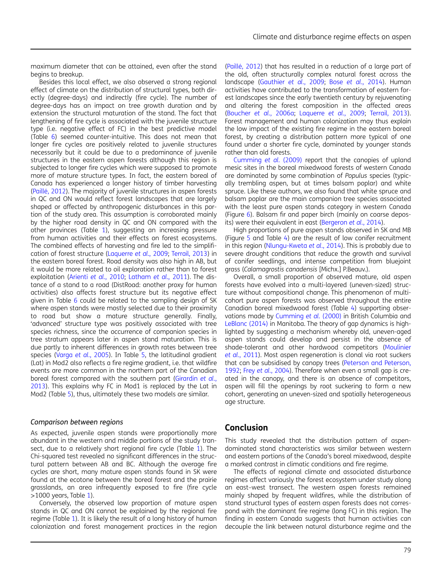maximum diameter that can be attained, even after the stand begins to breakup.

Besides this local effect, we also observed a strong regional effect of climate on the distribution of structural types, both directly (degree-days) and indirectly (fire cycle). The number of degree-days has an impact on tree growth duration and by extension the structural maturation of the stand. The fact that lengthening of fire cycle is associated with the juvenile structure type (i.e. negative effect of FC) in the best predictive model (Table [6](#page-8-0)) seemed counter-intuitive. This does not mean that longer fire cycles are positively related to juvenile structures necessarily but it could be due to a predominance of juvenile structures in the eastern aspen forests although this region is subjected to longer fire cycles which were supposed to promote more of mature structure types. In fact, the eastern boreal of Canada has experienced a longer history of timber harvesting [\(Paillé, 2012](#page-11-0)). The majority of juvenile structures in aspen forests in QC and ON would reflect forest landscapes that are largely shaped or affected by anthropogenic disturbances in this portion of the study area. This assumption is corroborated mainly by the higher road density in QC and ON compared with the other provinces (Table [1](#page-3-0)), suggesting an increasing pressure from human activities and their effects on forest ecosystems. The combined effects of harvesting and fire led to the simplification of forest structure [\(Laquerre](#page-11-0) et al., 2009; [Terrail, 2013](#page-11-0)) in the eastern boreal forest. Road density was also high in AB, but it would be more related to oil exploration rather than to forest exploitation (Arienti et al.[, 2010](#page-10-0); [Latham](#page-11-0) et al., 2011). The distance of a stand to a road (DistRoad: another proxy for human activities) also affects forest structure but its negative effect given in Table [6](#page-8-0) could be related to the sampling design of SK where aspen stands were mostly selected due to their proximity to road but show a mature structure generally. Finally, 'advanced' structure type was positively associated with tree species richness, since the occurrence of companion species in tree stratum appears later in aspen stand maturation. This is due partly to inherent differences in growth rates between tree species (Varga et al.[, 2005\)](#page-11-0). In Table [5,](#page-8-0) the latitudinal gradient (Lat) in Mod2 also reflects a fire regime gradient, i.e. that wildfire events are more common in the northern part of the Canadian boreal forest compared with the southern part ([Girardin](#page-10-0) et al., [2013](#page-10-0)). This explains why FC in Mod1 is replaced by the Lat in Mod2 (Table [5\)](#page-8-0), thus, ultimately these two models are similar.

#### Comparison between regions

As expected, juvenile aspen stands were proportionally more abundant in the western and middle portions of the study transect, due to a relatively short regional fire cycle (Table [1\)](#page-3-0). The Chi-squared test revealed no significant differences in the structural pattern between AB and BC. Although the average fire cycles are short, many mature aspen stands found in SK were found at the ecotone between the boreal forest and the prairie grasslands, an area infrequently exposed to fire (fire cycle  $>1000$  years, Table [1\)](#page-3-0).

Conversely, the observed low proportion of mature aspen stands in QC and ON cannot be explained by the regional fire regime (Table [1](#page-3-0)). It is likely the result of a long history of human colonization and forest management practices in the region

([Paillé, 2012](#page-11-0)) that has resulted in a reduction of a large part of the old, often structurally complex natural forest across the landscape [\(Gauthier](#page-10-0) et al., 2009; Bose et al.[, 2014](#page-10-0)). Human activities have contributed to the transformation of eastern forest landscapes since the early twentieth century by rejuvenating and altering the forest composition in the affected areas (Boucher et al.[, 2006a;](#page-10-0) [Laquerre](#page-11-0) et al., 2009; [Terrail, 2013\)](#page-11-0). Forest management and human colonization may thus explain the low impact of the existing fire regime in the eastern boreal forest, by creating a distribution pattern more typical of one found under a shorter fire cycle, dominated by younger stands rather than old forests.

[Cumming](#page-10-0) et al. (2009) report that the canopies of upland mesic sites in the boreal mixedwood forests of western Canada are dominated by some combination of Populus species (typically trembling aspen, but at times balsam poplar) and white spruce. Like these authors, we also found that white spruce and balsam poplar are the main companion tree species associated with the least pure aspen stands category in western Canada (Figure [6](#page-7-0)). Balsam fir and paper birch (mainly on coarse depos-its) were their equivalent in east ([Bergeron](#page-10-0) et al., 2014).

High proportions of pure aspen stands observed in SK and MB (Figure [5](#page-6-0) and Table [4](#page-7-0)) are the result of low conifer recruitment in this region ([Nlungu-Kweta](#page-11-0) et al., 2014). This is probably due to severe drought conditions that reduce the growth and survival of conifer seedlings, and intense competition from bluejoint grass (Calamagrostis canadensis [Michx.] P.Beauv.).

Overall, a small proportion of observed mature, old aspen forests have evolved into a multi-layered (uneven-sized) structure without compositional change. This phenomenon of multicohort pure aspen forests was observed throughout the entire Canadian boreal mixedwood forest (Table [4](#page-7-0)) supporting observations made by [Cumming](#page-10-0) et al. (2000) in British Columbia and [LeBlanc \(2014\)](#page-11-0) in Manitoba. The theory of gap dynamics is highlighted by suggesting a mechanism whereby old, uneven-aged aspen stands could develop and persist in the absence of shade-tolerant and other hardwood competitors ([Moulinier](#page-11-0) et al.[, 2011\)](#page-11-0). Most aspen regeneration is clonal via root suckers that can be subsidised by canopy trees ([Peterson and Peterson,](#page-11-0) [1992](#page-11-0); Frey et al.[, 2004](#page-10-0)). Therefore when even a small gap is created in the canopy, and there is an absence of competitors, aspen will fill the openings by root suckering to form a new cohort, generating an uneven-sized and spatially heterogeneous age structure.

## Conclusion

This study revealed that the distribution pattern of aspendominated stand characteristics was similar between western and eastern portions of the Canada's boreal mixedwood, despite a marked contrast in climatic conditions and fire regime.

The effects of regional climate and associated disturbance regimes affect variously the forest ecosystem under study along an east–west transect. The western aspen forests remained mainly shaped by frequent wildfires, while the distribution of stand structural types of eastern aspen forests does not correspond with the dominant fire regime (long FC) in this region. The finding in eastern Canada suggests that human activities can decouple the link between natural disturbance regime and the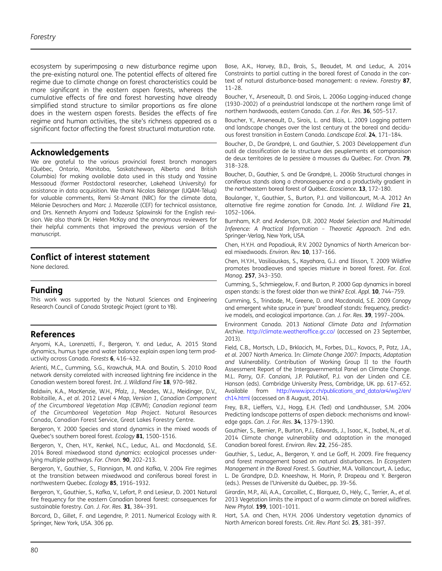<span id="page-10-0"></span>ecosystem by superimposing a new disturbance regime upon the pre-existing natural one. The potential effects of altered fire regime due to climate change on forest characteristics could be more significant in the eastern aspen forests, whereas the cumulative effects of fire and forest harvesting have already simplified stand structure to similar proportions as fire alone does in the western aspen forests. Besides the effects of fire regime and human activities, the site's richness appeared as a significant factor affecting the forest structural maturation rate.

## Acknowledgements

We are grateful to the various provincial forest branch managers (Québec, Ontario, Manitoba, Saskatchewan, Alberta and British Columbia) for making available data used in this study and Yassine Messaoud (former Postdoctoral researcher, Lakehead University) for assistance in data acquisition. We thank Nicolas Bélanger (UQAM-Téluq) for valuable comments, Remi St-Amant (NRC) for the climate data, Mélanie Desrochers and Marc J. Mazerolle (CEF) for technical assistance, and Drs. Kenneth Anyomi and Tadeusz Splawinski for the English revision. We also thank Dr. Helen McKay and the anonymous reviewers for their helpful comments that improved the previous version of the manuscript.

## Conflict of interest statement

None declared.

## Funding

This work was supported by the Natural Sciences and Engineering Research Council of Canada Strategic Project (grant to YB).

## References

Anyomi, K.A., Lorenzetti, F., Bergeron, Y. and Leduc, A. 2015 Stand dynamics, humus type and water balance explain aspen long term productivity across Canada. Forests 6, 416–432.

Arienti, M.C., Cumming, S.G., Krawchuk, M.A. and Boutin, S. 2010 Road network density correlated with increased lightning fire incidence in the Canadian western boreal forest. Int. J. Wildland Fire 18, 970–982.

Baldwin, K.A., MacKenzie, W.H., Pfalz, J., Meades, W.J., Meidinger, D.V., Robitaille, A., et al. 2012 Level 4 Map, Version 1, Canadian Component of the Circumboreal Vegetation Map (CBVM); Canadian regional team of the Circumboreal Vegetation Map Project. Natural Resources Canada, Canadian Forest Service, Great Lakes Forestry Centre.

Bergeron, Y. 2000 Species and stand dynamics in the mixed woods of Quebec's southern boreal forest. Ecology 81, 1500–1516.

Bergeron, Y., Chen, H.Y., Kenkel, N.C., Leduc, A.L. and Macdonald, S.E. 2014 Boreal mixedwood stand dynamics: ecological processes underlying multiple pathways. For. Chron. 90, 202–213.

Bergeron, Y., Gauthier, S., Flannigan, M. and Kafka, V. 2004 Fire regimes at the transition between mixedwood and coniferous boreal forest in northwestern Quebec. Ecology 85, 1916–1932.

Bergeron, Y., Gauthier, S., Kafka, V., Lefort, P. and Lesieur, D. 2001 Natural fire frequency for the eastern Canadian boreal forest: consequences for sustainable forestry. Can. J. For. Res. 31, 384-391.

Borcard, D., Gillet, F. and Legendre, P. 2011. Numerical Ecology with R. Springer, New York, USA. 306 pp.

Bose, A.K., Harvey, B.D., Brais, S., Beaudet, M. and Leduc, A. 2014 Constraints to partial cutting in the boreal forest of Canada in the context of natural disturbance-based management: a review. Forestry 87, 11–28.

Boucher, Y., Arseneault, D. and Sirois, L. 2006a Logging-induced change (1930–2002) of a preindustrial landscape at the northern range limit of northern hardwoods, eastern Canada. Can. J. For. Res. 36, 505–517.

Boucher, Y., Arseneault, D., Sirois, L. and Blais, L. 2009 Logging pattern and landscape changes over the last century at the boreal and deciduous forest transition in Eastern Canada. Landscape Ecol. 24, 171–184.

Boucher, D., De Grandpré, L. and Gauthier, S. 2003 Développement d'un outil de classification de la structure des peuplements et comparaison de deux territoires de la pessière à mousses du Québec. For. Chron. 79, 318–328.

Boucher, D., Gauthier, S. and De Grandpré, L. 2006b Structural changes in coniferous stands along a chronosequence and a productivity gradient in the northeastern boreal forest of Québec. Ecoscience. 13, 172–180.

Boulanger, Y., Gauthier, S., Burton, P.J. and Vaillancourt, M.-A. 2012 An alternative fire regime zonation for Canada. Int. J. Wildland Fire 21, 1052–1064.

Burnham, K.P. and Anderson, D.R. 2002 Model Selection and Multimodel Inference: A Practical Information – Theoretic Approach. 2nd edn. Springer-Verlag, New York, USA.

Chen, H.Y.H. and Popadiouk, R.V. 2002 Dynamics of North American boreal mixedwoods. Environ. Rev. 10, 137-166.

Chen, H.Y.H., Vasiliauskas, S., Kayahara, G.J. and Ilisson, T. 2009 Wildfire promotes broadleaves and species mixture in boreal forest. For. Ecol. Manag. 257, 343–350.

Cumming, S., Schmiegelow, F. and Burton, P. 2000 Gap dynamics in boreal aspen stands: is the forest older than we think? Ecol. Appl. 10, 744-759.

Cumming, S., Trindade, M., Greene, D. and Macdonald, S.E. 2009 Canopy and emergent white spruce in 'pure' broadleaf stands: frequency, predictive models, and ecological importance. Can. J. For. Res. 39, 1997–2004.

Environment Canada. 2013 National Climate Data and Information Archive. [http://climate.weatherof](http://climate.weatheroffice.gc.ca/)fice.gc.ca/ (accessed on 23 September, 2013).

Field, C.B., Mortsch, L.D., Brklacich, M., Forbes, D.L., Kovacs, P., Patz, J.A., et al. 2007 North America. In: Climate Change 2007: Impacts, Adaptation and Vulnerability. Contribution of Working Group II to the Fourth Assessment Report of the Intergovernmental Panel on Climate Change. M.L. Parry, O.F. Canziani, J.P. Palutikof, P.J. van der Linden and C.E. Hanson (eds). Cambridge University Press, Cambridge, UK. pp. 617–652. Available from [http://www.ipcc.ch/publications\\_and\\_data/ar4/wg2/en/](http://www.ipcc.ch/publications_and_data/ar4/wg2/en/ch14.html) [ch14.html](http://www.ipcc.ch/publications_and_data/ar4/wg2/en/ch14.html) (accessed on 8 August, 2014).

Frey, B.R., Lieffers, V.J., Hogg, E.H. (Ted) and Landhäusser, S.M. 2004 Predicting landscape patterns of aspen dieback: mechanisms and knowledge gaps. Can. J. For. Res. 34, 1379–1390.

Gauthier, S., Bernier, P., Burton, P.J., Edwards, J., Isaac, K., Isabel, N., et al. 2014 Climate change vulnerability and adaptation in the managed Canadian boreal forest. Environ. Rev. 22, 256–285.

Gauthier, S., Leduc, A., Bergeron, Y. and Le Goff, H. 2009. Fire frequency and forest management based on natural disturbances. In Ecosystem Management in the Boreal Forest. S. Gauthier, M.A. Vaillancourt, A. Leduc, L. De Grandpre, D.D. Kneeshaw, H. Morin, P. Drapeau and Y. Bergeron (eds.). Presses de l'Université du Québec, pp. 39–56.

Girardin, M.P., Ali, A.A., Carcaillet, C., Blarquez, O., Hély, C., Terrier, A., et al. 2013 Vegetation limits the impact of a warm climate on boreal wildfires. New Phytol. 199, 1001–1011.

Hart, S.A. and Chen, H.Y.H. 2006 Understory vegetation dynamics of North American boreal forests. Crit. Rev. Plant Sci. 25, 381–397.